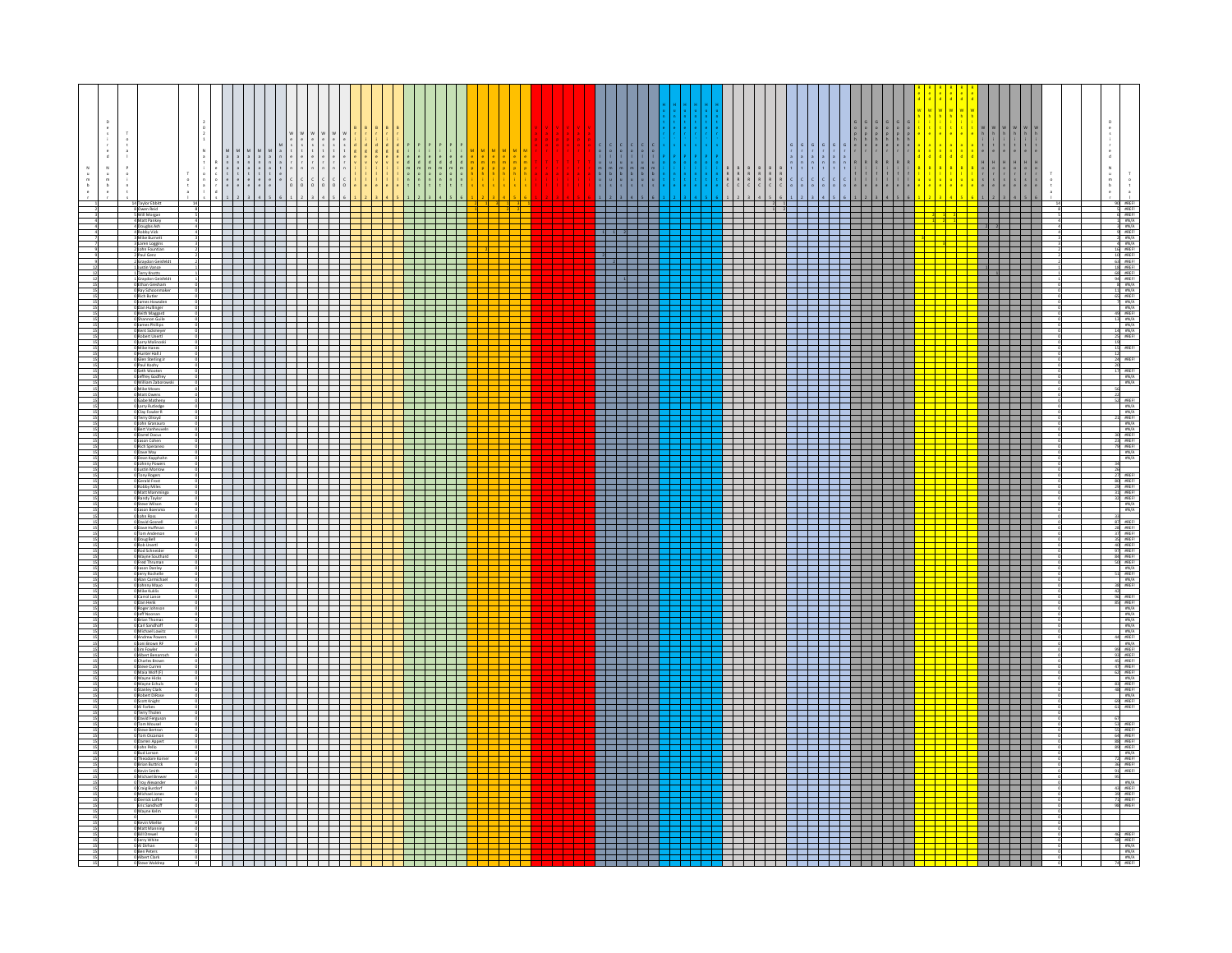|  |                                                                                                |  |                               | $\begin{array}{cccccc} M & M & M & M & S \\ a & a & a & b & t \\ a & a & a & b & c \\ n & n & n & a & r \\ a & a & b & t & n \\ s & t & t & t & e \end{array}$                                                                       |                                                                                                                                                                                                                                |               |                                                                                                                                                                                                                                |  |                              |                                                                                                                    |  |  |               |                                                                                                                      |                          |  |  |                                                                                                                            |  | RRRR |                            |  | $\frac{H}{\alpha}$                                                                                                                                                                                                                                                                                                                                                                                                                          |                            |  | $\begin{array}{c} \mathbf{z}\\ \mathbf{z}\\ \mathbf{z}\\ \mathbf{z}\\ \mathbf{z}\\ \mathbf{z}\\ \mathbf{z}\\ \mathbf{z}\\ \mathbf{z}\\ \mathbf{z}\\ \mathbf{z}\\ \mathbf{z}\\ \mathbf{z}\\ \mathbf{z}\\ \mathbf{z}\\ \mathbf{z}\\ \mathbf{z}\\ \mathbf{z}\\ \mathbf{z}\\ \mathbf{z}\\ \mathbf{z}\\ \mathbf{z}\\ \mathbf{z}\\ \mathbf{z}\\ \mathbf{z}\\ \mathbf{z}\\ \mathbf{z}\\ \mathbf{z}\\ \mathbf{z}\\ \mathbf{z}\\ \mathbf{z}\\ \mathbf{z}\\ \mathbf{z}\\ \mathbf{z}\\ \mathbf{z}\\ \mathbf$<br>$\begin{smallmatrix}0\\1\\1\\2\end{smallmatrix}$ |
|--|------------------------------------------------------------------------------------------------|--|-------------------------------|--------------------------------------------------------------------------------------------------------------------------------------------------------------------------------------------------------------------------------------|--------------------------------------------------------------------------------------------------------------------------------------------------------------------------------------------------------------------------------|---------------|--------------------------------------------------------------------------------------------------------------------------------------------------------------------------------------------------------------------------------|--|------------------------------|--------------------------------------------------------------------------------------------------------------------|--|--|---------------|----------------------------------------------------------------------------------------------------------------------|--------------------------|--|--|----------------------------------------------------------------------------------------------------------------------------|--|------|----------------------------|--|---------------------------------------------------------------------------------------------------------------------------------------------------------------------------------------------------------------------------------------------------------------------------------------------------------------------------------------------------------------------------------------------------------------------------------------------|----------------------------|--|-------------------------------------------------------------------------------------------------------------------------------------------------------------------------------------------------------------------------------------------------------------------------------------------------------------------------------------------------------------------------------------------------------------------------------------------------------------------------------------------------------------------------------------------------------|
|  | 14 Taylor Ebbitt<br>8 Owen Reid<br>5 Will Morgan                                               |  |                               | <u> Elektroni</u>                                                                                                                                                                                                                    |                                                                                                                                                                                                                                |               |                                                                                                                                                                                                                                |  |                              | $\overline{\phantom{a}}$                                                                                           |  |  |               |                                                                                                                      |                          |  |  | <del>, , , , , , , , , , , , , , , , , , ,</del>                                                                           |  |      |                            |  |                                                                                                                                                                                                                                                                                                                                                                                                                                             |                            |  |                                                                                                                                                                                                                                                                                                                                                                                                                                                                                                                                                       |
|  | 4 Matt Pankey<br>4 Douglas Ash                                                                 |  |                               | _________                                                                                                                                                                                                                            |                                                                                                                                                                                                                                |               | _______                                                                                                                                                                                                                        |  | <mark>├─├─┼─┼─┼─┼─┼─┼</mark> |                                                                                                                    |  |  |               | _______                                                                                                              |                          |  |  | _________________________                                                                                                  |  |      |                            |  | ╸<br>$\overline{2}$ $\overline{2}$                                                                                                                                                                                                                                                                                                                                                                                                          |                            |  |                                                                                                                                                                                                                                                                                                                                                                                                                                                                                                                                                       |
|  | 4 Robby Vick<br>3 Mike Burnet                                                                  |  |                               |                                                                                                                                                                                                                                      |                                                                                                                                                                                                                                |               |                                                                                                                                                                                                                                |  |                              | د ک                                                                                                                |  |  |               |                                                                                                                      |                          |  |  |                                                                                                                            |  |      |                            |  |                                                                                                                                                                                                                                                                                                                                                                                                                                             |                            |  |                                                                                                                                                                                                                                                                                                                                                                                                                                                                                                                                                       |
|  | 3 Loren Loggins<br>2 John Fountian                                                             |  |                               | <del>17 - 17 - 17 - 17</del>                                                                                                                                                                                                         |                                                                                                                                                                                                                                |               |                                                                                                                                                                                                                                |  |                              | a Tanzania                                                                                                         |  |  |               |                                                                                                                      |                          |  |  | _____________________<br>____________________                                                                              |  |      |                            |  |                                                                                                                                                                                                                                                                                                                                                                                                                                             |                            |  |                                                                                                                                                                                                                                                                                                                                                                                                                                                                                                                                                       |
|  | 2 Paul Genz<br>2 Graydon Geisfeld<br>Justin Vance                                              |  |                               |                                                                                                                                                                                                                                      |                                                                                                                                                                                                                                |               |                                                                                                                                                                                                                                |  |                              |                                                                                                                    |  |  |               |                                                                                                                      |                          |  |  |                                                                                                                            |  |      |                            |  | $\begin{array}{ c c c c }\hline \multicolumn{1}{ c }{\multicolumn{1}{ c }{\multicolumn{1}{ c }{\multicolumn{1}{ c }{\multicolumn{1}{ c }{\multicolumn{1}{ c }{\multicolumn{1}{ c }{\multicolumn{1}{c}}}}}}}} \hline \multicolumn{1}{ c }{\hline \multicolumn{1}{ c }{\multicolumn{1}{ c }{\multicolumn{1}{ c }{\multicolumn{1}{ c }{\multicolumn{1}{ c }{\multicolumn{1}{ c }{\multicolumn{1}{ c }{\multicolumn{1}{ c }{\multicolumn{1}{ c$ |                            |  |                                                                                                                                                                                                                                                                                                                                                                                                                                                                                                                                                       |
|  | 1 Terry Knotts                                                                                 |  |                               |                                                                                                                                                                                                                                      |                                                                                                                                                                                                                                |               |                                                                                                                                                                                                                                |  | <mark>▟▀▛▀▛▀▛▀▛▀▛▀▛</mark>   | $\overline{\phantom{a}}$                                                                                           |  |  |               |                                                                                                                      |                          |  |  |                                                                                                                            |  |      |                            |  | Г                                                                                                                                                                                                                                                                                                                                                                                                                                           |                            |  |                                                                                                                                                                                                                                                                                                                                                                                                                                                                                                                                                       |
|  | 1 Graydon Geisfe<br>0 Ethan Gresham<br>0 Brus C<br>  Ray Schoonr<br>  Rich Butler              |  |                               | _________                                                                                                                                                                                                                            |                                                                                                                                                                                                                                |               | and the control of the control of the control of the control of the control of the control of the control of the control of the control of the control of the control of the control of the control of the control of the cont |  |                              |                                                                                                                    |  |  |               |                                                                                                                      | a da barri               |  |  | <del>sta a sta a const</del> ruire de la construcción de la construcción de la construcción de la construcción de la const |  |      |                            |  |                                                                                                                                                                                                                                                                                                                                                                                                                                             |                            |  |                                                                                                                                                                                                                                                                                                                                                                                                                                                                                                                                                       |
|  | 0 James Howsder<br>0 Dan Hullinger                                                             |  |                               | <u> La Barbara de la Barbara de la Barbara de la Barbara de la Barbara de la Barbara de la Barbara de la Barbara </u>                                                                                                                |                                                                                                                                                                                                                                |               |                                                                                                                                                                                                                                |  |                              |                                                                                                                    |  |  |               |                                                                                                                      |                          |  |  |                                                                                                                            |  |      |                            |  |                                                                                                                                                                                                                                                                                                                                                                                                                                             |                            |  |                                                                                                                                                                                                                                                                                                                                                                                                                                                                                                                                                       |
|  | Keith Maggard<br>ihannon Guil                                                                  |  |                               |                                                                                                                                                                                                                                      | $\Box$                                                                                                                                                                                                                         |               |                                                                                                                                                                                                                                |  |                              | <u> Lip</u>                                                                                                        |  |  |               |                                                                                                                      |                          |  |  |                                                                                                                            |  |      | <del>- 1 - 1 - 1 - 1</del> |  |                                                                                                                                                                                                                                                                                                                                                                                                                                             |                            |  |                                                                                                                                                                                                                                                                                                                                                                                                                                                                                                                                                       |
|  | O James Phillips<br>0 Kent Sickmeyer                                                           |  |                               |                                                                                                                                                                                                                                      | <u>a kata ing Pa</u>                                                                                                                                                                                                           |               |                                                                                                                                                                                                                                |  |                              | a kara                                                                                                             |  |  |               |                                                                                                                      |                          |  |  |                                                                                                                            |  |      |                            |  | <b>I</b>                                                                                                                                                                                                                                                                                                                                                                                                                                    |                            |  |                                                                                                                                                                                                                                                                                                                                                                                                                                                                                                                                                       |
|  | 0 Ruin Scameyer<br>0 Robert Unerti<br>0 Larry Malinoski<br>0 Hunter Hall J<br>0 Flunter Hall J |  | a kata                        | <u> Elektronic Service School Service School Service School Service School Service School Service School Service </u>                                                                                                                | and the second series of the series of the series of the series of the series of the series of the series of the series of the series of the series of the series of the series of the series of the series of the series of t |               |                                                                                                                                                                                                                                |  |                              | a kacamatan ing Kabupatén Ing Kabupatén Ing Kabupatén Ing Kabupatén Ing Kabupatén Ing Kabupatén Ing Kabupatén      |  |  |               |                                                                                                                      | 1          <br>de la d   |  |  |                                                                                                                            |  |      |                            |  | <u> Literatur</u><br><u> Frans</u>                                                                                                                                                                                                                                                                                                                                                                                                          |                            |  | <b>SREFT</b>                                                                                                                                                                                                                                                                                                                                                                                                                                                                                                                                          |
|  | Glen Sterling J                                                                                |  |                               | <u> 1 ministra interna</u>                                                                                                                                                                                                           |                                                                                                                                                                                                                                | and the state |                                                                                                                                                                                                                                |  |                              |                                                                                                                    |  |  |               | <u> Karl Shekara</u>                                                                                                 |                          |  |  | <u>state in de generale formale de la constanta de la constanta de la constanta de la constanta de la constanta d</u>      |  |      |                            |  |                                                                                                                                                                                                                                                                                                                                                                                                                                             |                            |  | #REFI                                                                                                                                                                                                                                                                                                                                                                                                                                                                                                                                                 |
|  | 0 Paul Koohy<br>n wooten<br>Irey Godfre                                                        |  |                               | <u> Indian American Indian Indian Indian Indian Indian Indian Indian Indian Indian Indian Indian Indian Indian Indian Indian Indian Indian Indian Indian Indian Indian Indian Indian Indian Indian Indian Indian Indian Indian I</u> |                                                                                                                                                                                                                                |               |                                                                                                                                                                                                                                |  |                              | and the sea                                                                                                        |  |  |               |                                                                                                                      |                          |  |  |                                                                                                                            |  |      |                            |  | E                                                                                                                                                                                                                                                                                                                                                                                                                                           |                            |  | #REFI<br>#N/A<br>#N/A                                                                                                                                                                                                                                                                                                                                                                                                                                                                                                                                 |
|  | William Zaboro<br><b>O</b> Mike Moses                                                          |  |                               | <u> Antonio de Carlos de Santo de Santo de Santo de Santo de Santo de Santo de Santo de Santo de Santo de Santo d</u>                                                                                                                |                                                                                                                                                                                                                                |               |                                                                                                                                                                                                                                |  |                              | a kacamatan ing Kabupatén Ing Kabupatén Ing Kabupatén Ing Kabupatén Ing Kabupatén Ing Kabupatén Ing Kabupatén      |  |  | and the state |                                                                                                                      | 11 M H                   |  |  |                                                                                                                            |  |      |                            |  | <b>The Contract of the Contract of the Contract of the Contract of the Contract of the Contract of the Contract o</b><br><u> La Barbara (</u>                                                                                                                                                                                                                                                                                               |                            |  |                                                                                                                                                                                                                                                                                                                                                                                                                                                                                                                                                       |
|  | 0<br>Matt Owens<br>0 Gabe Matheny                                                              |  | man ma                        |                                                                                                                                                                                                                                      | <del>e de la c</del>                                                                                                                                                                                                           |               |                                                                                                                                                                                                                                |  |                              |                                                                                                                    |  |  |               |                                                                                                                      |                          |  |  | <del>▝▝▝▝▝▝▝▝▝▝▝▝</del>                                                                                                    |  |      |                            |  | in de la partie de la parti <mark>e de la partie de la partie de la partie de la partie de la partie de la</mark> partie de la<br><mark>1</mark> 990 de la partie de la partie de la partie de la partie de la partie de la partie de la partie de la par                                                                                                                                                                                   |                            |  |                                                                                                                                                                                                                                                                                                                                                                                                                                                                                                                                                       |
|  | 0 Larry Rutledge<br>0 Clay Fowler R                                                            |  |                               |                                                                                                                                                                                                                                      |                                                                                                                                                                                                                                |               |                                                                                                                                                                                                                                |  |                              | a kara                                                                                                             |  |  |               |                                                                                                                      |                          |  |  |                                                                                                                            |  |      |                            |  |                                                                                                                                                                                                                                                                                                                                                                                                                                             |                            |  |                                                                                                                                                                                                                                                                                                                                                                                                                                                                                                                                                       |
|  | Terry Olroyd<br>lohn Granaur                                                                   |  |                               | <u> El Servicio de la c</u>                                                                                                                                                                                                          |                                                                                                                                                                                                                                |               |                                                                                                                                                                                                                                |  |                              | <u>is p</u>                                                                                                        |  |  |               | -------                                                                                                              |                          |  |  |                                                                                                                            |  |      |                            |  | $\overline{\phantom{0}}$                                                                                                                                                                                                                                                                                                                                                                                                                    |                            |  |                                                                                                                                                                                                                                                                                                                                                                                                                                                                                                                                                       |
|  | Bert Vanheuv<br>Darrel Dacus<br>lason Cohen                                                    |  |                               | <u> Elder I</u>                                                                                                                                                                                                                      |                                                                                                                                                                                                                                |               |                                                                                                                                                                                                                                |  |                              |                                                                                                                    |  |  |               |                                                                                                                      |                          |  |  |                                                                                                                            |  |      |                            |  |                                                                                                                                                                                                                                                                                                                                                                                                                                             |                            |  |                                                                                                                                                                                                                                                                                                                                                                                                                                                                                                                                                       |
|  | Rich Speraneo<br>0 Dave Way<br>0 Dean Kapphah                                                  |  |                               | <u> La Barbara de la Barbara de la Barbara de la Barbara de la Barbara de la Barbara de la Barbara de la Barbara </u>                                                                                                                | <u> Est</u>                                                                                                                                                                                                                    |               |                                                                                                                                                                                                                                |  |                              | a kacamatan ing Kabupatén Ing Kabupatén Ing Kabupatén Ing Kabupatén Ing Kabupatén Ing Kabupatén Ing Kabupatén<br>I |  |  |               | <u> 1950 - 1950 - 1951 - 1951 - 1952 - 1953 - 1954 - 1955 - 1955 - 1955 - 1955 - 1955 - 1955 - 1955 - 1955 - 195</u> | a da da                  |  |  |                                                                                                                            |  |      |                            |  | Г<br>E                                                                                                                                                                                                                                                                                                                                                                                                                                      |                            |  | 2 #REF!<br>#N/A<br>#N/A<br>#REF!#REF!#REF!#REF!#REF!<br>#N/A<br>#N/A<br>#N/A                                                                                                                                                                                                                                                                                                                                                                                                                                                                          |
|  | <b>O Johnny Powers</b><br>0 Justin Morrow                                                      |  |                               |                                                                                                                                                                                                                                      |                                                                                                                                                                                                                                |               |                                                                                                                                                                                                                                |  |                              | a kara                                                                                                             |  |  |               |                                                                                                                      |                          |  |  |                                                                                                                            |  |      |                            |  | E                                                                                                                                                                                                                                                                                                                                                                                                                                           |                            |  |                                                                                                                                                                                                                                                                                                                                                                                                                                                                                                                                                       |
|  | O Tony Rogers<br>Gerald Frost                                                                  |  |                               | and the state<br><u> La Serie de la Serie de la Serie de la Serie de la Serie de la Serie de la Serie de la Serie de la Serie de l</u>                                                                                               |                                                                                                                                                                                                                                |               |                                                                                                                                                                                                                                |  |                              | an Bar                                                                                                             |  |  |               | .                                                                                                                    |                          |  |  |                                                                                                                            |  |      | <u> Herita de la Barca</u> |  | E                                                                                                                                                                                                                                                                                                                                                                                                                                           |                            |  | 25<br>27 <i>BREF</i><br>30 <i>BREF</i><br>29 <i>BREF</i><br>31 <i>BREF</i><br>81 <i>BREF</i><br><i>BREF</i><br><i>BREF</i><br><i>BREF</i><br><i>BREF</i><br><i>BREF</i>                                                                                                                                                                                                                                                                                                                                                                               |
|  | Robby Miles<br>Matt Mamminga<br>Randy Taylor                                                   |  |                               |                                                                                                                                                                                                                                      |                                                                                                                                                                                                                                |               |                                                                                                                                                                                                                                |  |                              |                                                                                                                    |  |  |               |                                                                                                                      |                          |  |  |                                                                                                                            |  |      |                            |  |                                                                                                                                                                                                                                                                                                                                                                                                                                             |                            |  |                                                                                                                                                                                                                                                                                                                                                                                                                                                                                                                                                       |
|  | Steve Wilso                                                                                    |  |                               | <u> El Britannico de la Britannia de la Britannia de la Britannia de la Britannia de la Britannia de la Britannia</u>                                                                                                                |                                                                                                                                                                                                                                |               |                                                                                                                                                                                                                                |  |                              |                                                                                                                    |  |  |               |                                                                                                                      |                          |  |  |                                                                                                                            |  |      |                            |  | I                                                                                                                                                                                                                                                                                                                                                                                                                                           |                            |  |                                                                                                                                                                                                                                                                                                                                                                                                                                                                                                                                                       |
|  | lason Boers<br>Iohn Ross<br>Javid Gosnel                                                       |  |                               |                                                                                                                                                                                                                                      |                                                                                                                                                                                                                                |               |                                                                                                                                                                                                                                |  |                              |                                                                                                                    |  |  |               |                                                                                                                      |                          |  |  |                                                                                                                            |  |      |                            |  | П                                                                                                                                                                                                                                                                                                                                                                                                                                           |                            |  |                                                                                                                                                                                                                                                                                                                                                                                                                                                                                                                                                       |
|  | Dave Huffman<br>Doug Bell                                                                      |  |                               |                                                                                                                                                                                                                                      |                                                                                                                                                                                                                                |               |                                                                                                                                                                                                                                |  |                              |                                                                                                                    |  |  |               |                                                                                                                      | 222223                   |  |  | .                                                                                                                          |  |      |                            |  |                                                                                                                                                                                                                                                                                                                                                                                                                                             |                            |  |                                                                                                                                                                                                                                                                                                                                                                                                                                                                                                                                                       |
|  | 0 Rob Unerti<br>0 Rod Schneider                                                                |  |                               |                                                                                                                                                                                                                                      |                                                                                                                                                                                                                                |               |                                                                                                                                                                                                                                |  |                              |                                                                                                                    |  |  |               |                                                                                                                      |                          |  |  |                                                                                                                            |  |      |                            |  |                                                                                                                                                                                                                                                                                                                                                                                                                                             |                            |  |                                                                                                                                                                                                                                                                                                                                                                                                                                                                                                                                                       |
|  | 0 Wayne Southard<br>0 Fred Thruman                                                             |  |                               | <u> 1999 - 1999 - 1999 - 1999 - 1999 - 1999 - 1999 - 1999 - 1999 - 1999 - 1999 - 1999 - 1999 - 1999 - 1999 - 199</u>                                                                                                                 |                                                                                                                                                                                                                                |               |                                                                                                                                                                                                                                |  |                              | and the state of the state<br>a kacamatan ing Kabupatén Kabupatén                                                  |  |  |               |                                                                                                                      |                          |  |  |                                                                                                                            |  |      |                            |  | <b>The Contract of the Contract of the Contract of the Contract of the Contract of the Contract of the Contract o</b>                                                                                                                                                                                                                                                                                                                       |                            |  |                                                                                                                                                                                                                                                                                                                                                                                                                                                                                                                                                       |
|  | Jason Danley<br>Jerry Rochelle<br>Alan Carmichae                                               |  |                               |                                                                                                                                                                                                                                      |                                                                                                                                                                                                                                |               |                                                                                                                                                                                                                                |  |                              | a da k                                                                                                             |  |  |               |                                                                                                                      |                          |  |  |                                                                                                                            |  |      |                            |  | i<br>I                                                                                                                                                                                                                                                                                                                                                                                                                                      |                            |  |                                                                                                                                                                                                                                                                                                                                                                                                                                                                                                                                                       |
|  | Man Common<br>Johnny Mayo<br>J Mike Kuklis<br>D Carrol Lance<br>O Dan Henk                     |  |                               | <u> Timba katika matsa ya shekara na matsa na matsa na matsa na matsa na matsa na matsa na matsa na matsa na matsa na matsa na matsa na matsa na matsa na matsa na matsa na matsa na matsa na matsa na matsa na matsa na matsa n</u> |                                                                                                                                                                                                                                |               |                                                                                                                                                                                                                                |  |                              | ا کا کا                                                                                                            |  |  |               | a kacamatan ing Kabupatèn Kabupatén Ing Kabupatèn Kabupatèn Kabupatèn Kabupatèn Kabupatèn Kabupatèn Kabupatèn        |                          |  |  |                                                                                                                            |  |      |                            |  | E                                                                                                                                                                                                                                                                                                                                                                                                                                           |                            |  |                                                                                                                                                                                                                                                                                                                                                                                                                                                                                                                                                       |
|  | Roger Johnso                                                                                   |  |                               |                                                                                                                                                                                                                                      |                                                                                                                                                                                                                                |               |                                                                                                                                                                                                                                |  |                              |                                                                                                                    |  |  |               |                                                                                                                      |                          |  |  |                                                                                                                            |  |      |                            |  | 1 I                                                                                                                                                                                                                                                                                                                                                                                                                                         |                            |  |                                                                                                                                                                                                                                                                                                                                                                                                                                                                                                                                                       |
|  | O Jeff Noonan<br>O Brian Thomas<br>O Carl Sandhoff<br>O Michael Louitz                         |  |                               | <u> El segundo de la segunda de la segunda de la segunda de la segunda de la segunda de la segunda de la segunda </u><br>_________                                                                                                   |                                                                                                                                                                                                                                |               |                                                                                                                                                                                                                                |  |                              |                                                                                                                    |  |  |               | -------                                                                                                              |                          |  |  |                                                                                                                            |  |      |                            |  | 1        <br>i sistema kontroll                                                                                                                                                                                                                                                                                                                                                                                                             |                            |  |                                                                                                                                                                                                                                                                                                                                                                                                                                                                                                                                                       |
|  | ichael Lowitz                                                                                  |  |                               |                                                                                                                                                                                                                                      |                                                                                                                                                                                                                                |               |                                                                                                                                                                                                                                |  |                              | a Tanzania                                                                                                         |  |  |               |                                                                                                                      |                          |  |  |                                                                                                                            |  |      |                            |  |                                                                                                                                                                                                                                                                                                                                                                                                                                             |                            |  |                                                                                                                                                                                                                                                                                                                                                                                                                                                                                                                                                       |
|  | 0 Andrew Powers<br>0 Joni Brown RF                                                             |  |                               |                                                                                                                                                                                                                                      |                                                                                                                                                                                                                                |               |                                                                                                                                                                                                                                |  |                              |                                                                                                                    |  |  |               |                                                                                                                      |                          |  |  |                                                                                                                            |  |      |                            |  | i<br>List                                                                                                                                                                                                                                                                                                                                                                                                                                   |                            |  |                                                                                                                                                                                                                                                                                                                                                                                                                                                                                                                                                       |
|  | 0 Jim Fowler<br>0 Albert Benarror<br>0 Charles Brown                                           |  |                               |                                                                                                                                                                                                                                      |                                                                                                                                                                                                                                |               |                                                                                                                                                                                                                                |  |                              | $\color{red}+$                                                                                                     |  |  |               |                                                                                                                      |                          |  |  |                                                                                                                            |  |      |                            |  | П                                                                                                                                                                                                                                                                                                                                                                                                                                           |                            |  |                                                                                                                                                                                                                                                                                                                                                                                                                                                                                                                                                       |
|  | 0 Steve Curren<br>0 Maia Wolf (F)<br>0 Maia Wolf (F)                                           |  |                               |                                                                                                                                                                                                                                      |                                                                                                                                                                                                                                |               | ___________________                                                                                                                                                                                                            |  | <mark>├┼┼┼┼┼┼┼</mark>        |                                                                                                                    |  |  |               | 3 3 3 3 3 3 4 3 4                                                                                                    |                          |  |  |                                                                                                                            |  |      |                            |  |                                                                                                                                                                                                                                                                                                                                                                                                                                             | i wilaya wa kutoka wa 1941 |  |                                                                                                                                                                                                                                                                                                                                                                                                                                                                                                                                                       |
|  | Vayne Hicks<br>Vayne Echul:<br>O Stanley Clark                                                 |  |                               |                                                                                                                                                                                                                                      |                                                                                                                                                                                                                                |               |                                                                                                                                                                                                                                |  |                              | E                                                                                                                  |  |  |               |                                                                                                                      |                          |  |  |                                                                                                                            |  |      |                            |  |                                                                                                                                                                                                                                                                                                                                                                                                                                             |                            |  |                                                                                                                                                                                                                                                                                                                                                                                                                                                                                                                                                       |
|  | 0 Robert DiRose<br>0 Scott Knight                                                              |  |                               | <u> ISBN 1989-1989</u>                                                                                                                                                                                                               |                                                                                                                                                                                                                                |               |                                                                                                                                                                                                                                |  |                              | ╅═╉═┦                                                                                                              |  |  |               |                                                                                                                      |                          |  |  | _____________________                                                                                                      |  |      |                            |  | $\overline{\phantom{0}}$                                                                                                                                                                                                                                                                                                                                                                                                                    |                            |  | $\frac{\text{BN/A}}{\text{BREF1}}$                                                                                                                                                                                                                                                                                                                                                                                                                                                                                                                    |
|  | 0 Al Forbes<br>0 Terry Tholen<br>O David Ferguson                                              |  |                               |                                                                                                                                                                                                                                      | ٣T                                                                                                                                                                                                                             |               |                                                                                                                                                                                                                                |  |                              | <u> Lip</u><br>a kacamatan ing Kabupatén Kabupatén                                                                 |  |  |               |                                                                                                                      |                          |  |  |                                                                                                                            |  |      |                            |  |                                                                                                                                                                                                                                                                                                                                                                                                                                             |                            |  | #REF!                                                                                                                                                                                                                                                                                                                                                                                                                                                                                                                                                 |
|  | <b>Tom Mousel</b><br>O Steve Bertran                                                           |  |                               | <u> Timba katika matsa ya shekara na matsa na matsa na matsa na matsa na matsa na matsa na matsa na matsa na matsa na matsa na matsa na matsa na matsa na matsa na matsa na matsa na matsa na matsa na matsa na matsa na matsa n</u> |                                                                                                                                                                                                                                |               |                                                                                                                                                                                                                                |  |                              |                                                                                                                    |  |  |               |                                                                                                                      |                          |  |  |                                                                                                                            |  |      |                            |  |                                                                                                                                                                                                                                                                                                                                                                                                                                             |                            |  |                                                                                                                                                                                                                                                                                                                                                                                                                                                                                                                                                       |
|  | 0 Tom Oscarson<br>0 Darren Appert                                                              |  |                               | ┪═┪═┪═┪═┪═╅                                                                                                                                                                                                                          |                                                                                                                                                                                                                                | $\mathbf{1}$  |                                                                                                                                                                                                                                |  |                              | ╅═╫═╫                                                                                                              |  |  |               |                                                                                                                      |                          |  |  |                                                                                                                            |  |      |                            |  | E                                                                                                                                                                                                                                                                                                                                                                                                                                           |                            |  | 67<br>53 #REFI<br>55 #REFI<br>64 #REFI<br>88 #REFI<br>#N/A<br>72 #REFI<br>95 #REFI<br>95<br>95                                                                                                                                                                                                                                                                                                                                                                                                                                                        |
|  | ohn Pello<br><b>Bud Larson</b>                                                                 |  |                               | <u> 1951 - 1951 - 1951 - 195</u>                                                                                                                                                                                                     |                                                                                                                                                                                                                                |               |                                                                                                                                                                                                                                |  |                              | a a shekara                                                                                                        |  |  |               |                                                                                                                      |                          |  |  |                                                                                                                            |  |      |                            |  |                                                                                                                                                                                                                                                                                                                                                                                                                                             |                            |  |                                                                                                                                                                                                                                                                                                                                                                                                                                                                                                                                                       |
|  | o Boo Lanson<br>O Theodore Korner<br>O Brian Buttrick<br>Kevin Smith<br>Michael Brewe          |  |                               |                                                                                                                                                                                                                                      |                                                                                                                                                                                                                                |               |                                                                                                                                                                                                                                |  |                              |                                                                                                                    |  |  |               |                                                                                                                      |                          |  |  |                                                                                                                            |  |      |                            |  |                                                                                                                                                                                                                                                                                                                                                                                                                                             |                            |  |                                                                                                                                                                                                                                                                                                                                                                                                                                                                                                                                                       |
|  | <b>Troy Alexande</b>                                                                           |  | <u> Timber and San Timber</u> |                                                                                                                                                                                                                                      | and the state of the state                                                                                                                                                                                                     |               |                                                                                                                                                                                                                                |  |                              | a kacamatan ing Kabupatén Kabupatén                                                                                |  |  |               |                                                                                                                      | $\overline{\phantom{a}}$ |  |  |                                                                                                                            |  |      |                            |  | П                                                                                                                                                                                                                                                                                                                                                                                                                                           |                            |  |                                                                                                                                                                                                                                                                                                                                                                                                                                                                                                                                                       |
|  | 0<br>Craig Burdorf<br>0 Michael Jones<br>O Derrick Loffin                                      |  |                               | <u> 1999 - Johann Johann Barn, mars e</u>                                                                                                                                                                                            |                                                                                                                                                                                                                                |               |                                                                                                                                                                                                                                |  | 22 32 32 3                   | a kara                                                                                                             |  |  |               |                                                                                                                      | ta a s                   |  |  |                                                                                                                            |  |      |                            |  | E                                                                                                                                                                                                                                                                                                                                                                                                                                           |                            |  |                                                                                                                                                                                                                                                                                                                                                                                                                                                                                                                                                       |
|  | Eric Sandhof<br>0 Wayne Kelm                                                                   |  |                               |                                                                                                                                                                                                                                      | ———                                                                                                                                                                                                                            |               |                                                                                                                                                                                                                                |  |                              | <b>The Second Second</b>                                                                                           |  |  |               |                                                                                                                      |                          |  |  |                                                                                                                            |  |      |                            |  | Г<br>┍                                                                                                                                                                                                                                                                                                                                                                                                                                      |                            |  |                                                                                                                                                                                                                                                                                                                                                                                                                                                                                                                                                       |
|  | n Mielko<br>Matt Manning                                                                       |  |                               |                                                                                                                                                                                                                                      |                                                                                                                                                                                                                                |               |                                                                                                                                                                                                                                |  |                              |                                                                                                                    |  |  |               |                                                                                                                      |                          |  |  |                                                                                                                            |  |      |                            |  | L                                                                                                                                                                                                                                                                                                                                                                                                                                           |                            |  |                                                                                                                                                                                                                                                                                                                                                                                                                                                                                                                                                       |
|  | Bill Drewel                                                                                    |  | a a shekarar 1                |                                                                                                                                                                                                                                      | and the state of the state<br>a kata                                                                                                                                                                                           |               |                                                                                                                                                                                                                                |  |                              |                                                                                                                    |  |  |               |                                                                                                                      |                          |  |  |                                                                                                                            |  |      |                            |  |                                                                                                                                                                                                                                                                                                                                                                                                                                             |                            |  | 46 #REFI<br>58 #REFI<br>#N/A<br>#N/A<br>#N/A<br>#REFI<br>74 #REFI                                                                                                                                                                                                                                                                                                                                                                                                                                                                                     |
|  | O Jerry White<br>O Al Dirhan<br>O Ben Peters                                                   |  |                               |                                                                                                                                                                                                                                      |                                                                                                                                                                                                                                |               |                                                                                                                                                                                                                                |  |                              |                                                                                                                    |  |  |               |                                                                                                                      |                          |  |  | <del>111111111111111</del>                                                                                                 |  |      |                            |  |                                                                                                                                                                                                                                                                                                                                                                                                                                             |                            |  |                                                                                                                                                                                                                                                                                                                                                                                                                                                                                                                                                       |
|  | Albert Clark<br>O Steve Waldrey                                                                |  |                               |                                                                                                                                                                                                                                      |                                                                                                                                                                                                                                |               |                                                                                                                                                                                                                                |  |                              | and the state                                                                                                      |  |  |               |                                                                                                                      |                          |  |  | <u> Timba kata ing kabupatèn Kabupatèn Bandar Bandar Bandar Bandar Bandar Bandar Bandar Bandar Bandar Bandar Bandar</u>    |  |      |                            |  |                                                                                                                                                                                                                                                                                                                                                                                                                                             |                            |  |                                                                                                                                                                                                                                                                                                                                                                                                                                                                                                                                                       |